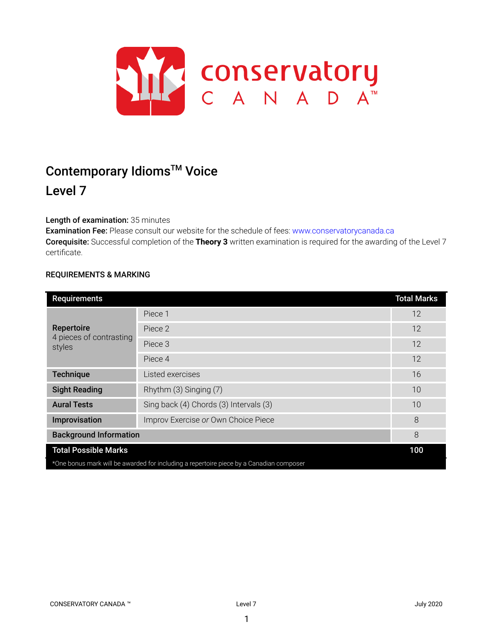

# Contemporary Idioms<sup>™</sup> Voice

# Level 7

# Length of examination: 35 minutes

Examination Fee: Please consult our website for the schedule of fees: www.conservatorycanada.ca Corequisite: Successful completion of the **Theory 3** written examination is required for the awarding of the Level 7 certificate.

# REQUIREMENTS & MARKING

| <b>Requirements</b>                                                                     |                                        | <b>Total Marks</b> |  |
|-----------------------------------------------------------------------------------------|----------------------------------------|--------------------|--|
| Repertoire<br>4 pieces of contrasting<br>styles                                         | Piece 1                                | 12                 |  |
|                                                                                         | Piece 2                                | 12                 |  |
|                                                                                         | Piece 3                                | 12                 |  |
|                                                                                         | Piece 4                                | 12                 |  |
| <b>Technique</b>                                                                        | Listed exercises                       | 16                 |  |
| <b>Sight Reading</b>                                                                    | Rhythm (3) Singing (7)                 | 10                 |  |
| <b>Aural Tests</b>                                                                      | Sing back (4) Chords (3) Intervals (3) | 10                 |  |
| Improvisation                                                                           | Improv Exercise or Own Choice Piece    | 8                  |  |
| <b>Background Information</b>                                                           |                                        | 8                  |  |
| <b>Total Possible Marks</b>                                                             |                                        | 100                |  |
| *One bonus mark will be awarded for including a repertoire piece by a Canadian composer |                                        |                    |  |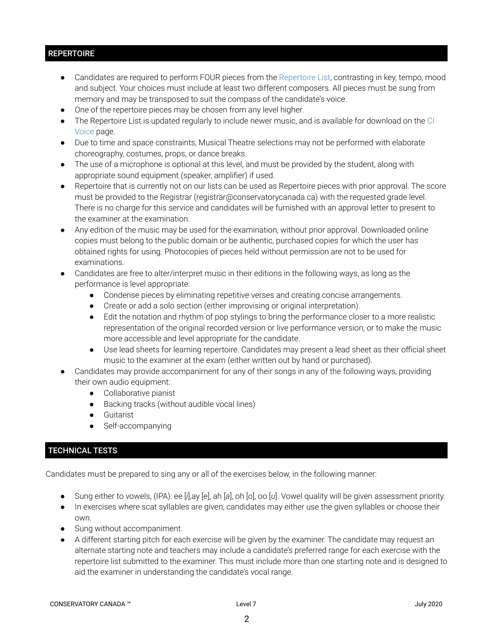# **REPERTOIRE**

- Candidates are required to perform FOUR pieces from the Repertoire List, contrasting in key, tempo, mood and subject. Your choices must include at least two different composers. All pieces must be sung from memory and may be transposed to suit the compass of the candidate's voice.
- One of the repertoire pieces may be chosen from any level higher.
- The Repertoire List is updated regularly to include newer music, and is available for download on the CI Voice page.
- Due to time and space constraints, Musical Theatre selections may not be performed with elaborate choreography, costumes, props, or dance breaks.
- The use of a microphone is optional at this level, and must be provided by the student, along with appropriate sound equipment (speaker, amplifier) if used.
- Repertoire that is currently not on our lists can be used as Repertoire pieces with prior approval. The score must be provided to the Registrar (registrar@conservatorycanada.ca) with the requested grade level. There is no charge for this service and candidates will be furnished with an approval letter to present to the examiner at the examination.
- Any edition of the music may be used for the examination, without prior approval. Downloaded online copies must belong to the public domain or be authentic, purchased copies for which the user has obtained rights for using. Photocopies of pieces held without permission are not to be used for examinations.
- Candidates are free to alter/interpret music in their editions in the following ways, as long as the performance is level appropriate:
	- Condense pieces by eliminating repetitive verses and creating concise arrangements.
	- Create or add a solo section (either improvising or original interpretation).
	- Edit the notation and rhythm of pop stylings to bring the performance closer to a more realistic representation of the original recorded version or live performance version, or to make the music more accessible and level appropriate for the candidate.
	- Use lead sheets for learning repertoire. Candidates may present a lead sheet as their official sheet music to the examiner at the exam (either written out by hand or purchased).
- Candidates may provide accompaniment for any of their songs in any of the following ways, providing their own audio equipment:
	- Collaborative pianist
	- Backing tracks (without audible vocal lines)
	- Guitarist
	- Self-accompanying

# TECHNICAL TESTS

Candidates must be prepared to sing any or all of the exercises below, in the following manner:

- Sung either to vowels, (IPA): ee [*i*],ay [*e*], ah [*a*], oh [*o*], oo [*u*]. Vowel quality will be given assessment priority.
- In exercises where scat syllables are given, candidates may either use the given syllables or choose their own.
- Sung without accompaniment.
- A different starting pitch for each exercise will be given by the examiner. The candidate may request an alternate starting note and teachers may include a candidate's preferred range for each exercise with the repertoire list submitted to the examiner. This must include more than one starting note and is designed to aid the examiner in understanding the candidate's vocal range.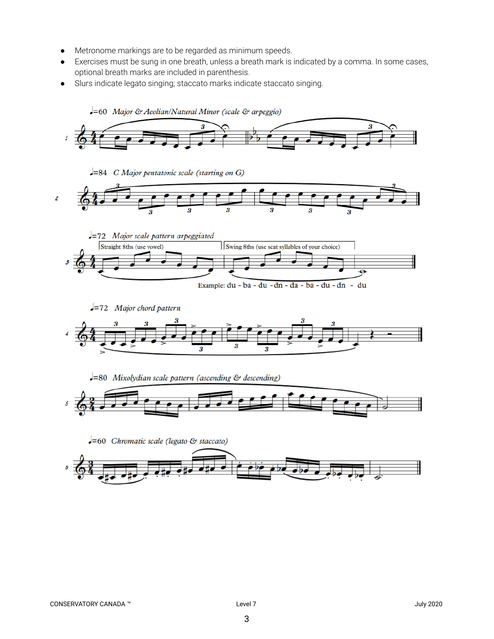- Metronome markings are to be regarded as minimum speeds.
- Exercises must be sung in one breath, unless a breath mark is indicated by a comma. In some cases, optional breath marks are included in parenthesis.
- Slurs indicate legato singing; staccato marks indicate staccato singing.

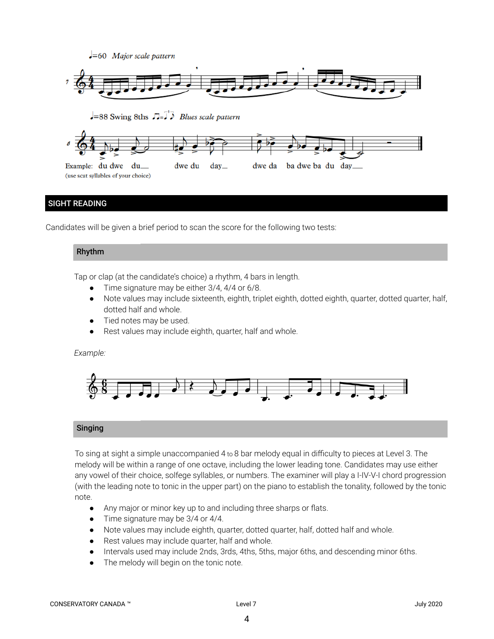

# SIGHT READING

Candidates will be given a brief period to scan the score for the following two tests:

## Rhythm

Tap or clap (at the candidate's choice) a rhythm, 4 bars in length.

- Time signature may be either 3/4, 4/4 or 6/8.
- Note values may include sixteenth, eighth, triplet eighth, dotted eighth, quarter, dotted quarter, half, dotted half and whole.
- Tied notes may be used.
- Rest values may include eighth, quarter, half and whole.

#### *Example:*



## Singing

To sing at sight a simple unaccompanied 4 to 8 bar melody equal in difficulty to pieces at Level 3. The melody will be within a range of one octave, including the lower leading tone. Candidates may use either any vowel of their choice, solfege syllables, or numbers. The examiner will play a I-IV-V-I chord progression (with the leading note to tonic in the upper part) on the piano to establish the tonality, followed by the tonic note.

- *●* Any major or minor key up to and including three sharps or flats.
- Time signature may be 3/4 or 4/4.
- Note values may include eighth, quarter, dotted quarter, half, dotted half and whole.
- Rest values may include quarter, half and whole.
- Intervals used may include 2nds, 3rds, 4ths, 5ths, major 6ths, and descending minor 6ths.
- The melody will begin on the tonic note.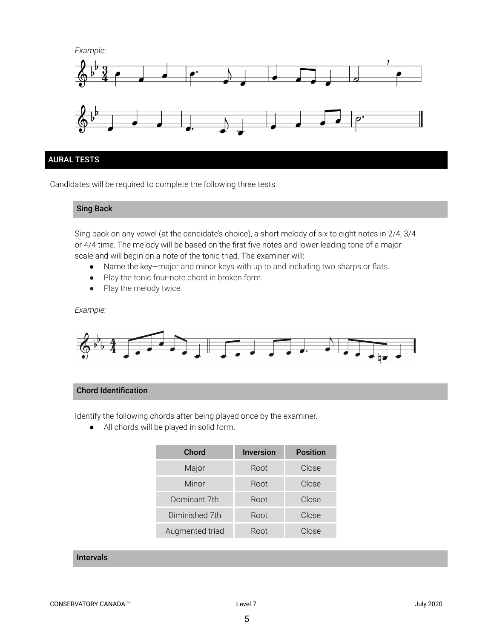

## AURAL TESTS

Candidates will be required to complete the following three tests:

#### Sing Back

Sing back on any vowel (at the candidate's choice), a short melody of six to eight notes in 2/4, 3/4 or 4/4 time. The melody will be based on the first five notes and lower leading tone of a major scale and will begin on a note of the tonic triad. The examiner will:

- Name the key—major and minor keys with up to and including two sharps or flats.
- Play the tonic four-note chord in broken form.
- Play the melody twice.

#### *Example:*



#### Chord Identification

Identify the following chords after being played once by the examiner.

● All chords will be played in solid form.

| Chord           | <b>Inversion</b> | <b>Position</b> |
|-----------------|------------------|-----------------|
| Major           | Root             | Close           |
| Minor           | Root             | Close           |
| Dominant 7th    | Root             | Close           |
| Diminished 7th  | Root             | Close           |
| Augmented triad | Root             | Close           |

#### Intervals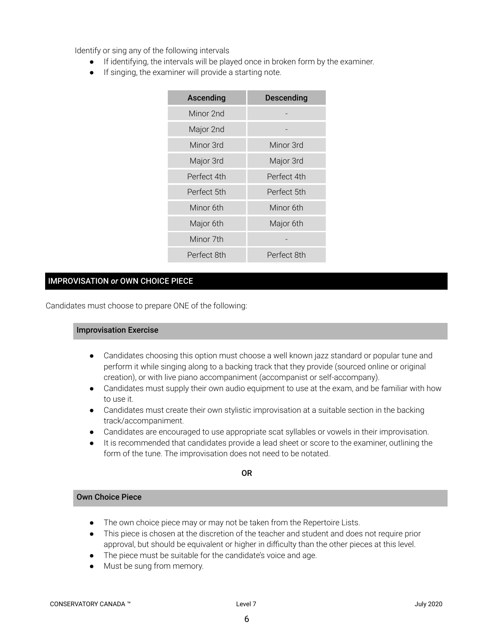Identify or sing any of the following intervals

- If identifying, the intervals will be played once in broken form by the examiner.
- If singing, the examiner will provide a starting note.

| Ascending   | <b>Descending</b> |  |
|-------------|-------------------|--|
| Minor 2nd   |                   |  |
| Major 2nd   |                   |  |
| Minor 3rd   | Minor 3rd         |  |
| Major 3rd   | Major 3rd         |  |
| Perfect 4th | Perfect 4th       |  |
| Perfect 5th | Perfect 5th       |  |
| Minor 6th   | Minor 6th         |  |
| Major 6th   | Major 6th         |  |
| Minor 7th   |                   |  |
| Perfect 8th | Perfect 8th       |  |

# IMPROVISATION *or* OWN CHOICE PIECE

Candidates must choose to prepare ONE of the following:

#### Improvisation Exercise

- Candidates choosing this option must choose a well known jazz standard or popular tune and perform it while singing along to a backing track that they provide (sourced online or original creation), or with live piano accompaniment (accompanist or self-accompany).
- Candidates must supply their own audio equipment to use at the exam, and be familiar with how to use it.
- Candidates must create their own stylistic improvisation at a suitable section in the backing track/accompaniment.
- Candidates are encouraged to use appropriate scat syllables or vowels in their improvisation.
- It is recommended that candidates provide a lead sheet or score to the examiner, outlining the form of the tune. The improvisation does not need to be notated.

OR

# Own Choice Piece

- The own choice piece may or may not be taken from the Repertoire Lists.
- This piece is chosen at the discretion of the teacher and student and does not require prior approval, but should be equivalent or higher in difficulty than the other pieces at this level.
- The piece must be suitable for the candidate's voice and age.
- Must be sung from memory.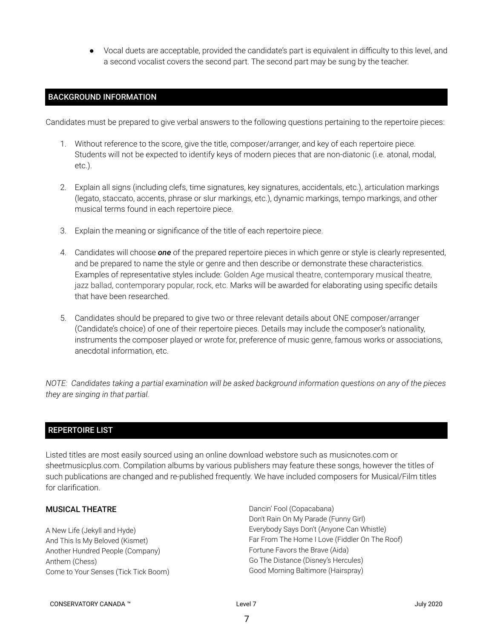● Vocal duets are acceptable, provided the candidate's part is equivalent in difficulty to this level, and a second vocalist covers the second part. The second part may be sung by the teacher.

#### BACKGROUND INFORMATION

Candidates must be prepared to give verbal answers to the following questions pertaining to the repertoire pieces:

- 1. Without reference to the score, give the title, composer/arranger, and key of each repertoire piece. Students will not be expected to identify keys of modern pieces that are non-diatonic (i.e. atonal, modal, etc.).
- 2. Explain all signs (including clefs, time signatures, key signatures, accidentals, etc.), articulation markings (legato, staccato, accents, phrase or slur markings, etc.), dynamic markings, tempo markings, and other musical terms found in each repertoire piece.
- 3. Explain the meaning or significance of the title of each repertoire piece.
- 4. Candidates will choose *one* of the prepared repertoire pieces in which genre or style is clearly represented, and be prepared to name the style or genre and then describe or demonstrate these characteristics. Examples of representative styles include: Golden Age musical theatre, contemporary musical theatre, jazz ballad, contemporary popular, rock, etc. Marks will be awarded for elaborating using specific details that have been researched.
- 5. Candidates should be prepared to give two or three relevant details about ONE composer/arranger (Candidate's choice) of one of their repertoire pieces. Details may include the composer's nationality, instruments the composer played or wrote for, preference of music genre, famous works or associations, anecdotal information, etc.

NOTE: Candidates taking a partial examination will be asked background information questions on any of the pieces *they are singing in that partial.*

## REPERTOIRE LIST

Listed titles are most easily sourced using an online download webstore such as musicnotes.com or sheetmusicplus.com. Compilation albums by various publishers may feature these songs, however the titles of such publications are changed and re-published frequently. We have included composers for Musical/Film titles for clarification.

#### MUSICAL THEATRE

A New Life (Jekyll and Hyde) And This Is My Beloved (Kismet) Another Hundred People (Company) Anthem (Chess) Come to Your Senses (Tick Tick Boom) Dancin' Fool (Copacabana) Don't Rain On My Parade (Funny Girl) Everybody Says Don't (Anyone Can Whistle) Far From The Home I Love (Fiddler On The Roof) Fortune Favors the Brave (Aida) Go The Distance (Disney's Hercules) Good Morning Baltimore (Hairspray)